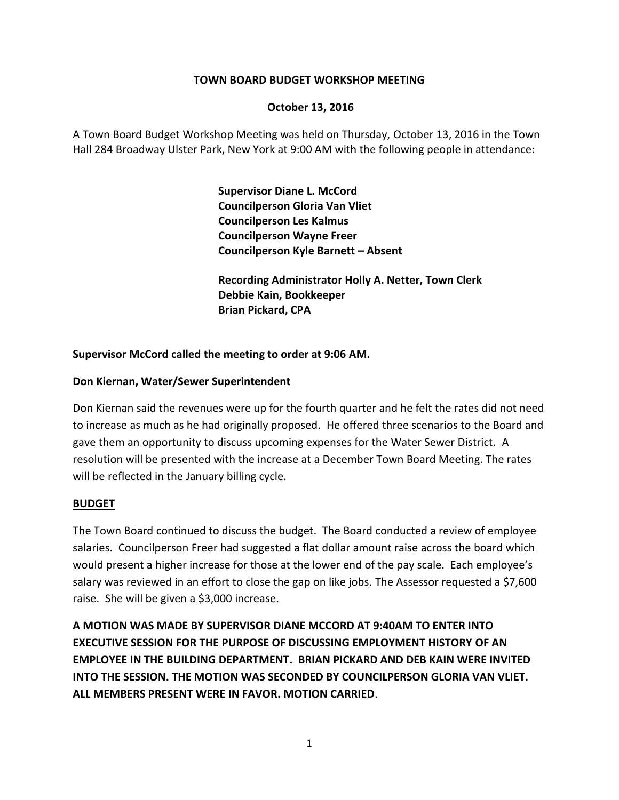## **TOWN BOARD BUDGET WORKSHOP MEETING**

## **October 13, 2016**

A Town Board Budget Workshop Meeting was held on Thursday, October 13, 2016 in the Town Hall 284 Broadway Ulster Park, New York at 9:00 AM with the following people in attendance:

> **Supervisor Diane L. McCord Councilperson Gloria Van Vliet Councilperson Les Kalmus Councilperson Wayne Freer Councilperson Kyle Barnett – Absent**

**Recording Administrator Holly A. Netter, Town Clerk Debbie Kain, Bookkeeper Brian Pickard, CPA**

## **Supervisor McCord called the meeting to order at 9:06 AM.**

### **Don Kiernan, Water/Sewer Superintendent**

Don Kiernan said the revenues were up for the fourth quarter and he felt the rates did not need to increase as much as he had originally proposed. He offered three scenarios to the Board and gave them an opportunity to discuss upcoming expenses for the Water Sewer District. A resolution will be presented with the increase at a December Town Board Meeting. The rates will be reflected in the January billing cycle.

#### **BUDGET**

The Town Board continued to discuss the budget. The Board conducted a review of employee salaries. Councilperson Freer had suggested a flat dollar amount raise across the board which would present a higher increase for those at the lower end of the pay scale. Each employee's salary was reviewed in an effort to close the gap on like jobs. The Assessor requested a \$7,600 raise. She will be given a \$3,000 increase.

**A MOTION WAS MADE BY SUPERVISOR DIANE MCCORD AT 9:40AM TO ENTER INTO EXECUTIVE SESSION FOR THE PURPOSE OF DISCUSSING EMPLOYMENT HISTORY OF AN EMPLOYEE IN THE BUILDING DEPARTMENT. BRIAN PICKARD AND DEB KAIN WERE INVITED INTO THE SESSION. THE MOTION WAS SECONDED BY COUNCILPERSON GLORIA VAN VLIET. ALL MEMBERS PRESENT WERE IN FAVOR. MOTION CARRIED**.